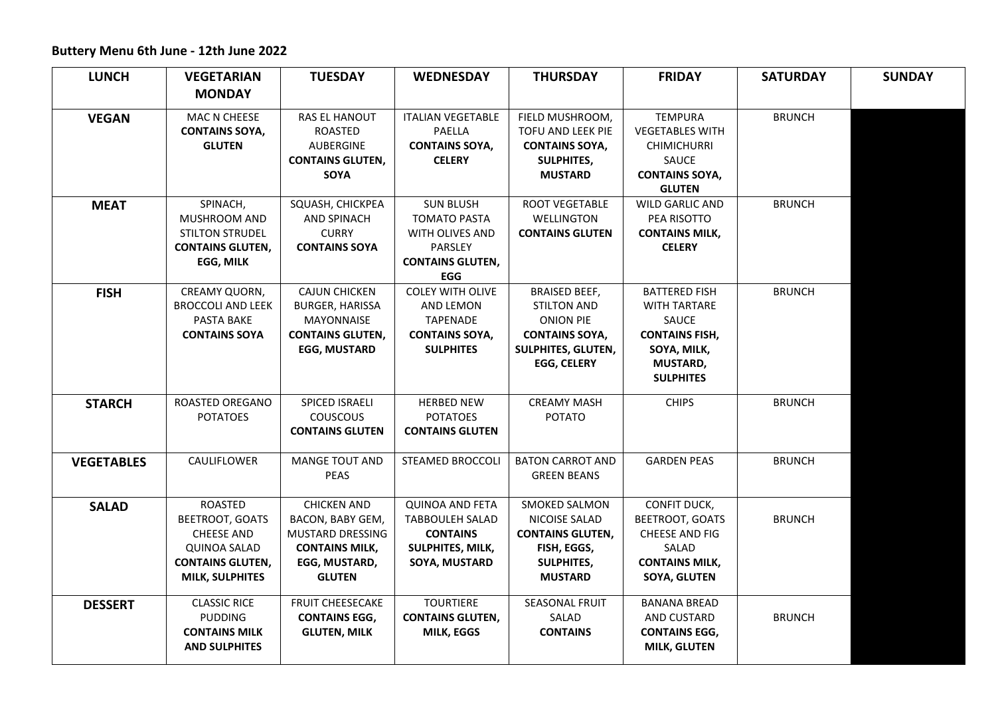## **Buttery Menu 6th June - 12th June 2022**

| <b>LUNCH</b>      | <b>VEGETARIAN</b>                                                                                                                         | <b>TUESDAY</b>                                                                                                        | <b>WEDNESDAY</b>                                                                                                      | <b>THURSDAY</b>                                                                                                                     | <b>FRIDAY</b>                                                                                                                | <b>SATURDAY</b> | <b>SUNDAY</b> |
|-------------------|-------------------------------------------------------------------------------------------------------------------------------------------|-----------------------------------------------------------------------------------------------------------------------|-----------------------------------------------------------------------------------------------------------------------|-------------------------------------------------------------------------------------------------------------------------------------|------------------------------------------------------------------------------------------------------------------------------|-----------------|---------------|
|                   | <b>MONDAY</b>                                                                                                                             |                                                                                                                       |                                                                                                                       |                                                                                                                                     |                                                                                                                              |                 |               |
| <b>VEGAN</b>      | MAC N CHEESE<br><b>CONTAINS SOYA,</b>                                                                                                     | <b>RAS EL HANOUT</b><br>ROASTED                                                                                       | <b>ITALIAN VEGETABLE</b><br>PAELLA                                                                                    | FIELD MUSHROOM,<br>TOFU AND LEEK PIE                                                                                                | <b>TEMPURA</b><br><b>VEGETABLES WITH</b>                                                                                     | <b>BRUNCH</b>   |               |
|                   | <b>GLUTEN</b>                                                                                                                             | <b>AUBERGINE</b><br><b>CONTAINS GLUTEN,</b>                                                                           | <b>CONTAINS SOYA,</b><br><b>CELERY</b>                                                                                | <b>CONTAINS SOYA,</b><br><b>SULPHITES,</b>                                                                                          | <b>CHIMICHURRI</b><br>SAUCE                                                                                                  |                 |               |
|                   |                                                                                                                                           | SOYA                                                                                                                  |                                                                                                                       | <b>MUSTARD</b>                                                                                                                      | <b>CONTAINS SOYA,</b><br><b>GLUTEN</b>                                                                                       |                 |               |
| <b>MEAT</b>       | SPINACH,<br>MUSHROOM AND<br><b>STILTON STRUDEL</b><br><b>CONTAINS GLUTEN,</b><br>EGG, MILK                                                | SQUASH, CHICKPEA<br><b>AND SPINACH</b><br><b>CURRY</b><br><b>CONTAINS SOYA</b>                                        | <b>SUN BLUSH</b><br><b>TOMATO PASTA</b><br>WITH OLIVES AND<br><b>PARSLEY</b><br><b>CONTAINS GLUTEN,</b><br><b>EGG</b> | ROOT VEGETABLE<br>WELLINGTON<br><b>CONTAINS GLUTEN</b>                                                                              | WILD GARLIC AND<br>PEA RISOTTO<br><b>CONTAINS MILK,</b><br><b>CELERY</b>                                                     | <b>BRUNCH</b>   |               |
| <b>FISH</b>       | CREAMY QUORN,<br><b>BROCCOLI AND LEEK</b><br>PASTA BAKE<br><b>CONTAINS SOYA</b>                                                           | <b>CAJUN CHICKEN</b><br><b>BURGER, HARISSA</b><br><b>MAYONNAISE</b><br><b>CONTAINS GLUTEN,</b><br><b>EGG, MUSTARD</b> | <b>COLEY WITH OLIVE</b><br>AND LEMON<br><b>TAPENADE</b><br><b>CONTAINS SOYA,</b><br><b>SULPHITES</b>                  | <b>BRAISED BEEF,</b><br><b>STILTON AND</b><br><b>ONION PIE</b><br><b>CONTAINS SOYA,</b><br>SULPHITES, GLUTEN,<br><b>EGG, CELERY</b> | <b>BATTERED FISH</b><br><b>WITH TARTARE</b><br>SAUCE<br><b>CONTAINS FISH,</b><br>SOYA, MILK,<br>MUSTARD,<br><b>SULPHITES</b> | <b>BRUNCH</b>   |               |
| <b>STARCH</b>     | ROASTED OREGANO<br><b>POTATOES</b>                                                                                                        | SPICED ISRAELI<br><b>COUSCOUS</b><br><b>CONTAINS GLUTEN</b>                                                           | <b>HERBED NEW</b><br><b>POTATOES</b><br><b>CONTAINS GLUTEN</b>                                                        | <b>CREAMY MASH</b><br><b>POTATO</b>                                                                                                 | <b>CHIPS</b>                                                                                                                 | <b>BRUNCH</b>   |               |
| <b>VEGETABLES</b> | CAULIFLOWER                                                                                                                               | <b>MANGE TOUT AND</b><br><b>PEAS</b>                                                                                  | <b>STEAMED BROCCOLI</b>                                                                                               | <b>BATON CARROT AND</b><br><b>GREEN BEANS</b>                                                                                       | <b>GARDEN PEAS</b>                                                                                                           | <b>BRUNCH</b>   |               |
| <b>SALAD</b>      | <b>ROASTED</b><br><b>BEETROOT, GOATS</b><br><b>CHEESE AND</b><br><b>QUINOA SALAD</b><br><b>CONTAINS GLUTEN,</b><br><b>MILK, SULPHITES</b> | <b>CHICKEN AND</b><br>BACON, BABY GEM,<br>MUSTARD DRESSING<br><b>CONTAINS MILK,</b><br>EGG, MUSTARD,<br><b>GLUTEN</b> | <b>QUINOA AND FETA</b><br><b>TABBOULEH SALAD</b><br><b>CONTAINS</b><br>SULPHITES, MILK,<br>SOYA, MUSTARD              | <b>SMOKED SALMON</b><br>NICOISE SALAD<br><b>CONTAINS GLUTEN,</b><br>FISH, EGGS,<br>SULPHITES,<br><b>MUSTARD</b>                     | CONFIT DUCK,<br><b>BEETROOT, GOATS</b><br>CHEESE AND FIG<br>SALAD<br><b>CONTAINS MILK,</b><br><b>SOYA, GLUTEN</b>            | <b>BRUNCH</b>   |               |
| <b>DESSERT</b>    | <b>CLASSIC RICE</b><br><b>PUDDING</b><br><b>CONTAINS MILK</b><br><b>AND SULPHITES</b>                                                     | FRUIT CHEESECAKE<br><b>CONTAINS EGG,</b><br><b>GLUTEN, MILK</b>                                                       | <b>TOURTIERE</b><br><b>CONTAINS GLUTEN,</b><br>MILK, EGGS                                                             | <b>SEASONAL FRUIT</b><br>SALAD<br><b>CONTAINS</b>                                                                                   | <b>BANANA BREAD</b><br>AND CUSTARD<br><b>CONTAINS EGG,</b><br><b>MILK, GLUTEN</b>                                            | <b>BRUNCH</b>   |               |